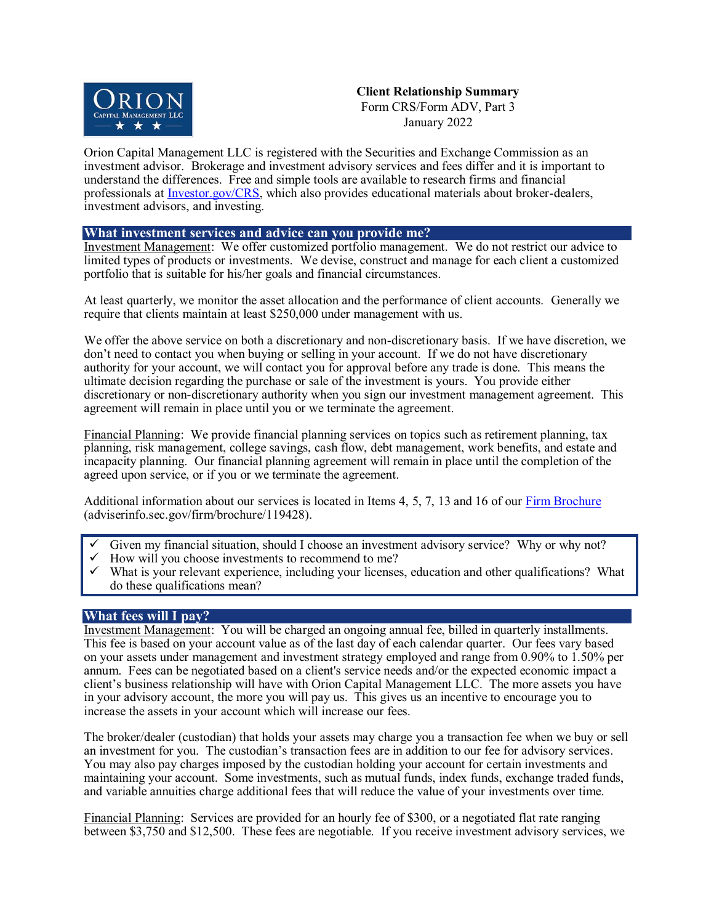

**Client Relationship Summary** Form CRS/Form ADV, Part 3 January 2022

Orion Capital Management LLC is registered with the Securities and Exchange Commission as an investment advisor. Brokerage and investment advisory services and fees differ and it is important to understand the differences. Free and simple tools are available to research firms and financial professionals at [Investor.gov/CRS,](http://investor.gov/CRS) which also provides educational materials about broker-dealers, investment advisors, and investing.

# **What investment services and advice can you provide me?**

Investment Management:We offer customized portfolio management. We do not restrict our advice to limited types of products or investments. We devise, construct and manage for each client a customized portfolio that is suitable for his/her goals and financial circumstances.

At least quarterly, we monitor the asset allocation and the performance of client accounts. Generally we require that clients maintain at least \$250,000 under management with us.

We offer the above service on both a discretionary and non-discretionary basis. If we have discretion, we don't need to contact you when buying or selling in your account. If we do not have discretionary authority for your account, we will contact you for approval before any trade is done. This means the ultimate decision regarding the purchase or sale of the investment is yours. You provide either discretionary or non-discretionary authority when you sign our investment management agreement. This agreement will remain in place until you or we terminate the agreement.

Financial Planning:We provide financial planning services on topics such as retirement planning, tax planning, risk management, college savings, cash flow, debt management, work benefits, and estate and incapacity planning. Our financial planning agreement will remain in place until the completion of the agreed upon service, or if you or we terminate the agreement.

Additional information about our services is located in Items 4, 5, 7, 13 and 16 of our [Firm Brochure](https://adviserinfo.sec.gov/firm/brochure/119428) (adviserinfo.sec.gov/firm/brochure/119428).

- Given my financial situation, should I choose an investment advisory service? Why or why not?
- How will you choose investments to recommend to me?
- What is your relevant experience, including your licenses, education and other qualifications? What do these qualifications mean?

# **What fees will I pay?**

Investment Management:You will be charged an ongoing annual fee, billed in quarterly installments. This fee is based on your account value as of the last day of each calendar quarter. Our fees vary based on your assets under management and investment strategy employed and range from 0.90% to 1.50% per annum. Fees can be negotiated based on a client's service needs and/or the expected economic impact a client's business relationship will have with Orion Capital Management LLC. The more assets you have in your advisory account, the more you will pay us. This gives us an incentive to encourage you to increase the assets in your account which will increase our fees.

The broker/dealer (custodian) that holds your assets may charge you a transaction fee when we buy or sell an investment for you. The custodian's transaction fees are in addition to our fee for advisory services. You may also pay charges imposed by the custodian holding your account for certain investments and maintaining your account. Some investments, such as mutual funds, index funds, exchange traded funds, and variable annuities charge additional fees that will reduce the value of your investments over time.

Financial Planning:Services are provided for an hourly fee of \$300, or a negotiated flat rate ranging between \$3,750 and \$12,500. These fees are negotiable. If you receive investment advisory services, we